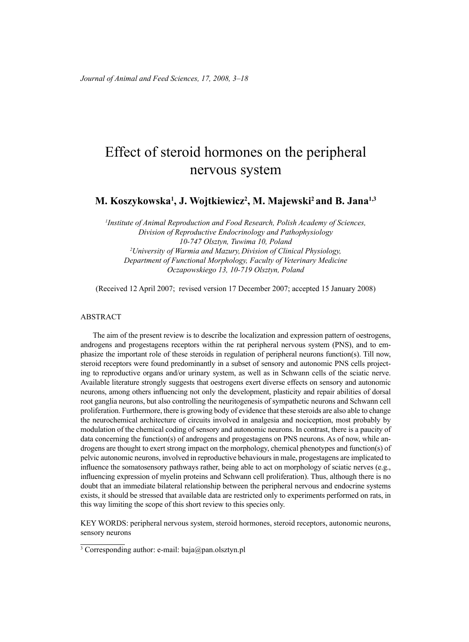# Effect of steroid hormones on the peripheral nervous system

**M. Koszykowska1 , J. Wojtkiewicz2 , M. Majewski2 and B. Jana1,3**

*1 Institute of Animal Reproduction and Food Research, Polish Academy of Sciences, Division of Reproductive Endocrinology and Pathophysiology 10-747 Olsztyn, Tuwima 10, Poland 2 University of Warmia and Mazury, Division of Clinical Physiology, Department of Functional Morphology, Faculty of Veterinary Medicine Oczapowskiego 13, 10-719 Olsztyn, Poland*

(Received 12 April 2007; revised version 17 December 2007; accepted 15 January 2008)

#### ABSTRACT

The aim of the present review is to describe the localization and expression pattern of oestrogens, androgens and progestagens receptors within the rat peripheral nervous system (PNS), and to emphasize the important role of these steroids in regulation of peripheral neurons function(s). Till now, steroid receptors were found predominantly in a subset of sensory and autonomic PNS cells projecting to reproductive organs and/or urinary system, as well as in Schwann cells of the sciatic nerve. Available literature strongly suggests that oestrogens exert diverse effects on sensory and autonomic neurons, among others influencing not only the development, plasticity and repair abilities of dorsal root ganglia neurons, but also controlling the neuritogenesis of sympathetic neurons and Schwann cell proliferation. Furthermore, there is growing body of evidence that these steroids are also able to change the neurochemical architecture of circuits involved in analgesia and nociception, most probably by modulation of the chemical coding of sensory and autonomic neurons. In contrast, there is a paucity of data concerning the function(s) of androgens and progestagens on PNS neurons. As of now, while androgens are thought to exert strong impact on the morphology, chemical phenotypes and function(s) of pelvic autonomic neurons, involved in reproductive behaviours in male, progestagens are implicated to influence the somatosensory pathways rather, being able to act on morphology of sciatic nerves (e.g., influencing expression of myelin proteins and Schwann cell proliferation). Thus, although there is no doubt that an immediate bilateral relationship between the peripheral nervous and endocrine systems exists, it should be stressed that available data are restricted only to experiments performed on rats, in this way limiting the scope of this short review to this species only.

KEY WORDS: peripheral nervous system, steroid hormones, steroid receptors, autonomic neurons, sensory neurons

<sup>3</sup> Corresponding author: e-mail: baja@pan.olsztyn.pl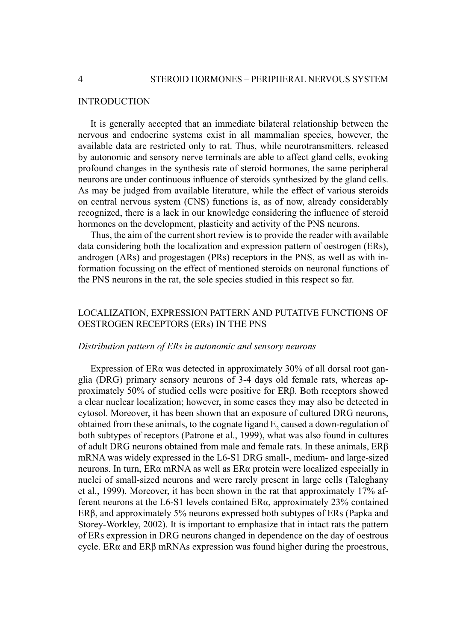#### **INTRODUCTION**

It is generally accepted that an immediate bilateral relationship between the nervous and endocrine systems exist in all mammalian species, however, the available data are restricted only to rat. Thus, while neurotransmitters, released by autonomic and sensory nerve terminals are able to affect gland cells, evoking profound changes in the synthesis rate of steroid hormones, the same peripheral neurons are under continuous influence of steroids synthesized by the gland cells. As may be judged from available literature, while the effect of various steroids on central nervous system (CNS) functions is, as of now, already considerably recognized, there is a lack in our knowledge considering the influence of steroid hormones on the development, plasticity and activity of the PNS neurons.

Thus, the aim of the current short review is to provide the reader with available data considering both the localization and expression pattern of oestrogen (ERs), androgen (ARs) and progestagen (PRs) receptors in the PNS, as well as with information focussing on the effect of mentioned steroids on neuronal functions of the PNS neurons in the rat, the sole species studied in this respect so far.

## LOCALIZATION, EXPRESSION PATTERN AND PUTATIVE FUNCTIONS OF OESTROGEN RECEPTORS (ERs) IN THE PNS

#### *Distribution pattern of ERs in autonomic and sensory neurons*

Expression of ERα was detected in approximately 30% of all dorsal root ganglia (DRG) primary sensory neurons of 3-4 days old female rats, whereas approximately 50% of studied cells were positive for ERβ. Both receptors showed a clear nuclear localization; however, in some cases they may also be detected in cytosol. Moreover, it has been shown that an exposure of cultured DRG neurons, obtained from these animals, to the cognate ligand  $E_2$  caused a down-regulation of both subtypes of receptors (Patrone et al., 1999), what was also found in cultures of adult DRG neurons obtained from male and female rats. In these animals, ERβ mRNA was widely expressed in the L6-S1 DRG small-, medium- and large-sized neurons. In turn, ERα mRNA as well as ERα protein were localized especially in nuclei of small-sized neurons and were rarely present in large cells (Taleghany et al., 1999). Moreover, it has been shown in the rat that approximately 17% afferent neurons at the L6-S1 levels contained  $ER\alpha$ , approximately 23% contained ERβ, and approximately 5% neurons expressed both subtypes of ERs (Papka and Storey-Workley, 2002). It is important to emphasize that in intact rats the pattern of ERs expression in DRG neurons changed in dependence on the day of oestrous cycle. ER $\alpha$  and ER $\beta$  mRNAs expression was found higher during the proestrous,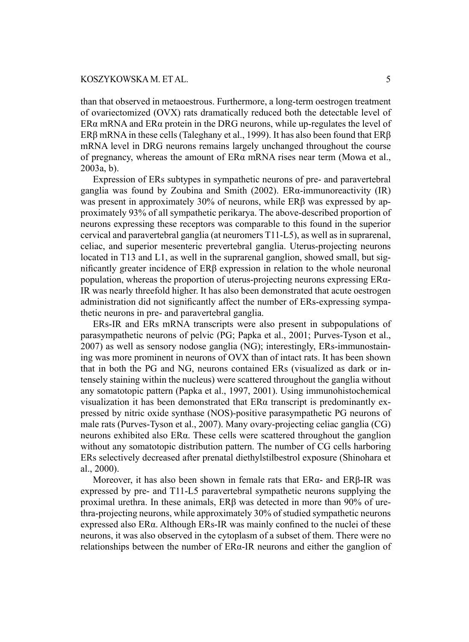than that observed in metaoestrous. Furthermore, a long-term oestrogen treatment of ovariectomized (OVX) rats dramatically reduced both the detectable level of  $ER\alpha$  mRNA and  $ER\alpha$  protein in the DRG neurons, while up-regulates the level of ERβ mRNA in these cells (Taleghany et al., 1999). It has also been found that ERβ mRNA level in DRG neurons remains largely unchanged throughout the course of pregnancy, whereas the amount of ERα mRNA rises near term (Mowa et al., 2003a, b).

Expression of ERs subtypes in sympathetic neurons of pre- and paravertebral ganglia was found by Zoubina and Smith (2002). ERα-immunoreactivity (IR) was present in approximately 30% of neurons, while ERβ was expressed by approximately 93% of all sympathetic perikarya. The above-described proportion of neurons expressing these receptors was comparable to this found in the superior cervical and paravertebral ganglia (at neuromers T11-L5), as well as in suprarenal, celiac, and superior mesenteric prevertebral ganglia. Uterus-projecting neurons located in T13 and L1, as well in the suprarenal ganglion, showed small, but significantly greater incidence of ERβ expression in relation to the whole neuronal population, whereas the proportion of uterus-projecting neurons expressing ERα-IR was nearly threefold higher. It has also been demonstrated that acute oestrogen administration did not significantly affect the number of ERs-expressing sympathetic neurons in pre- and paravertebral ganglia.

ERs-IR and ERs mRNA transcripts were also present in subpopulations of parasympathetic neurons of pelvic (PG; Papka et al., 2001; Purves-Tyson et al., 2007) as well as sensory nodose ganglia (NG); interestingly, ERs-immunostaining was more prominent in neurons of OVX than of intact rats. It has been shown that in both the PG and NG, neurons contained ERs (visualized as dark or intensely staining within the nucleus) were scattered throughout the ganglia without any somatotopic pattern (Papka et al., 1997, 2001). Using immunohistochemical visualization it has been demonstrated that  $ER\alpha$  transcript is predominantly expressed by nitric oxide synthase (NOS)-positive parasympathetic PG neurons of male rats (Purves-Tyson et al., 2007). Many ovary-projecting celiac ganglia (CG) neurons exhibited also ERα. These cells were scattered throughout the ganglion without any somatotopic distribution pattern. The number of CG cells harboring ERs selectively decreased after prenatal diethylstilbestrol exposure (Shinohara et al., 2000).

Moreover, it has also been shown in female rats that  $ER\alpha$ - and  $ER\beta$ -IR was expressed by pre- and T11-L5 paravertebral sympathetic neurons supplying the proximal urethra. In these animals, ERβ was detected in more than 90% of urethra-projecting neurons, while approximately 30% of studied sympathetic neurons expressed also ERα. Although ERs-IR was mainly confined to the nuclei of these neurons, it was also observed in the cytoplasm of a subset of them. There were no relationships between the number of  $ER\alpha$ -IR neurons and either the ganglion of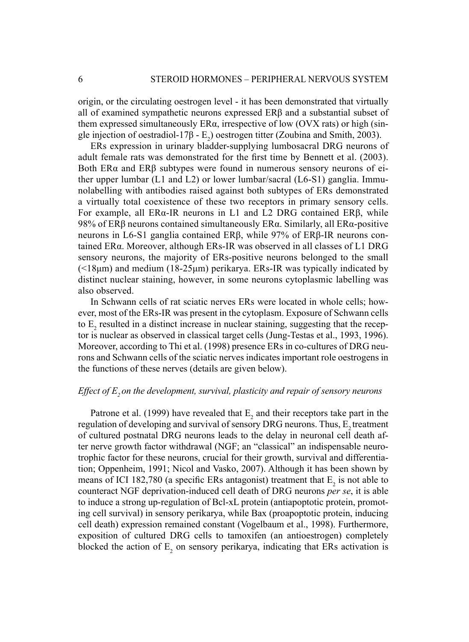origin, or the circulating oestrogen level - it has been demonstrated that virtually all of examined sympathetic neurons expressed ERβ and a substantial subset of them expressed simultaneously  $ER\alpha$ , irrespective of low (OVX rats) or high (single injection of oestradiol-17 $\beta$  - E<sub>2</sub>) oestrogen titter (Zoubina and Smith, 2003).

ERs expression in urinary bladder-supplying lumbosacral DRG neurons of adult female rats was demonstrated for the first time by Bennett et al. (2003). Both ER $\alpha$  and ER $\beta$  subtypes were found in numerous sensory neurons of either upper lumbar (L1 and L2) or lower lumbar/sacral (L6-S1) ganglia. Immunolabelling with antibodies raised against both subtypes of ERs demonstrated a virtually total coexistence of these two receptors in primary sensory cells. For example, all ERα-IR neurons in L1 and L2 DRG contained ERβ, while 98% of ERβ neurons contained simultaneously ERα. Similarly, all ERα-positive neurons in L6-S1 ganglia contained ERβ, while 97% of ERβ-IR neurons contained ERα. Moreover, although ERs-IR was observed in all classes of L1 DRG sensory neurons, the majority of ERs-positive neurons belonged to the small  $(\leq18\mu m)$  and medium (18-25 $\mu$ m) perikarya. ERs-IR was typically indicated by distinct nuclear staining, however, in some neurons cytoplasmic labelling was also observed.

In Schwann cells of rat sciatic nerves ERs were located in whole cells; however, most of the ERs-IR was present in the cytoplasm. Exposure of Schwann cells to  $E_2$  resulted in a distinct increase in nuclear staining, suggesting that the receptor is nuclear as observed in classical target cells (Jung-Testas et al., 1993, 1996). Moreover, according to Thi et al. (1998) presence ERs in co-cultures of DRG neurons and Schwann cells of the sciatic nerves indicates important role oestrogens in the functions of these nerves (details are given below).

## *Effect of E<sub>2</sub> on the development, survival, plasticity and repair of sensory neurons*

Patrone et al. (1999) have revealed that  $E_2$  and their receptors take part in the regulation of developing and survival of sensory DRG neurons. Thus,  $E<sub>2</sub>$  treatment of cultured postnatal DRG neurons leads to the delay in neuronal cell death after nerve growth factor withdrawal (NGF; an "classical" an indispensable neurotrophic factor for these neurons, crucial for their growth, survival and differentiation; Oppenheim, 1991; Nicol and Vasko, 2007). Although it has been shown by means of ICI 182,780 (a specific ERs antagonist) treatment that  $E_2$  is not able to counteract NGF deprivation-induced cell death of DRG neurons *per se*, it is able to induce a strong up-regulation of Bcl-xL protein (antiapoptotic protein, promoting cell survival) in sensory perikarya, while Bax (proapoptotic protein, inducing cell death) expression remained constant (Vogelbaum et al., 1998). Furthermore, exposition of cultured DRG cells to tamoxifen (an antioestrogen) completely blocked the action of  $E_2$  on sensory perikarya, indicating that ERs activation is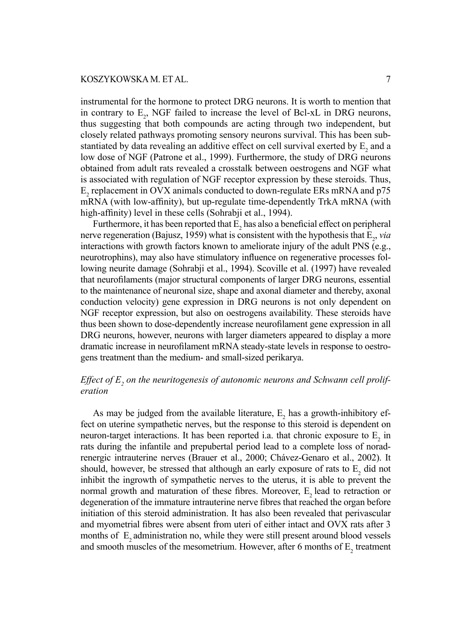instrumental for the hormone to protect DRG neurons. It is worth to mention that in contrary to  $E_2$ , NGF failed to increase the level of Bcl-xL in DRG neurons, thus suggesting that both compounds are acting through two independent, but closely related pathways promoting sensory neurons survival. This has been substantiated by data revealing an additive effect on cell survival exerted by  $E_2$  and a low dose of NGF (Patrone et al., 1999). Furthermore, the study of DRG neurons obtained from adult rats revealed a crosstalk between oestrogens and NGF what is associated with regulation of NGF receptor expression by these steroids. Thus,  $E_2$  replacement in OVX animals conducted to down-regulate ERs mRNA and p75 mRNA (with low-affinity), but up-regulate time-dependently TrkA mRNA (with high-affinity) level in these cells (Sohrabji et al., 1994).

Furthermore, it has been reported that  $E_2$  has also a beneficial effect on peripheral nerve regeneration (Bajusz, 1959) what is consistent with the hypothesis that  $E_2$ , *via* interactions with growth factors known to ameliorate injury of the adult PNS (e.g., neurotrophins), may also have stimulatory influence on regenerative processes following neurite damage (Sohrabji et al., 1994). Scoville et al. (1997) have revealed that neurofilaments (major structural components of larger DRG neurons, essential to the maintenance of neuronal size, shape and axonal diameter and thereby, axonal conduction velocity) gene expression in DRG neurons is not only dependent on NGF receptor expression, but also on oestrogens availability. These steroids have thus been shown to dose-dependently increase neurofilament gene expression in all DRG neurons, however, neurons with larger diameters appeared to display a more dramatic increase in neurofilament mRNA steady-state levels in response to oestrogens treatment than the medium- and small-sized perikarya.

## Effect of E<sub>2</sub> on the neuritogenesis of autonomic neurons and Schwann cell prolif*eration*

As may be judged from the available literature,  $E_2$  has a growth-inhibitory effect on uterine sympathetic nerves, but the response to this steroid is dependent on neuron-target interactions. It has been reported i.a. that chronic exposure to  $E_2$  in rats during the infantile and prepubertal period lead to a complete loss of noradrenergic intrauterine nerves (Brauer et al., 2000; Chávez-Genaro et al., 2002). It should, however, be stressed that although an early exposure of rats to  $E_2$  did not inhibit the ingrowth of sympathetic nerves to the uterus, it is able to prevent the normal growth and maturation of these fibres. Moreover,  $E<sub>2</sub>$  lead to retraction or degeneration of the immature intrauterine nerve fibres that reached the organ before initiation of this steroid administration. It has also been revealed that perivascular and myometrial fibres were absent from uteri of either intact and OVX rats after 3 months of  $E_2$  administration no, while they were still present around blood vessels and smooth muscles of the mesometrium. However, after 6 months of  $E_2$  treatment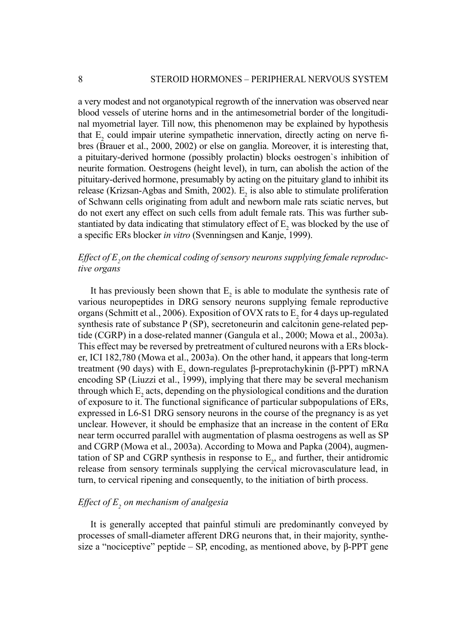a very modest and not organotypical regrowth of the innervation was observed near blood vessels of uterine horns and in the antimesometrial border of the longitudinal myometrial layer. Till now, this phenomenon may be explained by hypothesis that  $E_2$  could impair uterine sympathetic innervation, directly acting on nerve fibres (Brauer et al., 2000, 2002) or else on ganglia. Moreover, it is interesting that, a pituitary-derived hormone (possibly prolactin) blocks oestrogen`s inhibition of neurite formation. Oestrogens (height level), in turn, can abolish the action of the pituitary-derived hormone, presumably by acting on the pituitary gland to inhibit its release (Krizsan-Agbas and Smith, 2002).  $E_2$  is also able to stimulate proliferation of Schwann cells originating from adult and newborn male rats sciatic nerves, but do not exert any effect on such cells from adult female rats. This was further substantiated by data indicating that stimulatory effect of  $E_2$  was blocked by the use of a specific ERs blocker *in vitro* (Svenningsen and Kanje, 1999).

# *Effect of E<sub>2</sub> on the chemical coding of sensory neurons supplying female reproductive organs*

It has previously been shown that  $E_2$  is able to modulate the synthesis rate of various neuropeptides in DRG sensory neurons supplying female reproductive organs (Schmitt et al., 2006). Exposition of OVX rats to  $E_2$  for 4 days up-regulated synthesis rate of substance P (SP), secretoneurin and calcitonin gene-related peptide (CGRP) in a dose-related manner (Gangula et al., 2000; Mowa et al., 2003a). This effect may be reversed by pretreatment of cultured neurons with a ERs blocker, ICI 182,780 (Mowa et al., 2003a). On the other hand, it appears that long-term treatment (90 days) with  $E_2$  down-regulates β-preprotachykinin (β-PPT) mRNA encoding SP (Liuzzi et al., 1999), implying that there may be several mechanism through which  $E_2$  acts, depending on the physiological conditions and the duration of exposure to it. The functional signifi cance of particular subpopulations of ERs, expressed in L6-S1 DRG sensory neurons in the course of the pregnancy is as yet unclear. However, it should be emphasize that an increase in the content of  $ER\alpha$ near term occurred parallel with augmentation of plasma oestrogens as well as SP and CGRP (Mowa et al., 2003a). According to Mowa and Papka (2004), augmentation of SP and CGRP synthesis in response to  $E_2$ , and further, their antidromic release from sensory terminals supplying the cervical microvasculature lead, in turn, to cervical ripening and consequently, to the initiation of birth process.

## *Effect of E<sub>2</sub> on mechanism of analgesia*

It is generally accepted that painful stimuli are predominantly conveyed by processes of small-diameter afferent DRG neurons that, in their majority, synthesize a "nociceptive" peptide – SP, encoding, as mentioned above, by  $\beta$ -PPT gene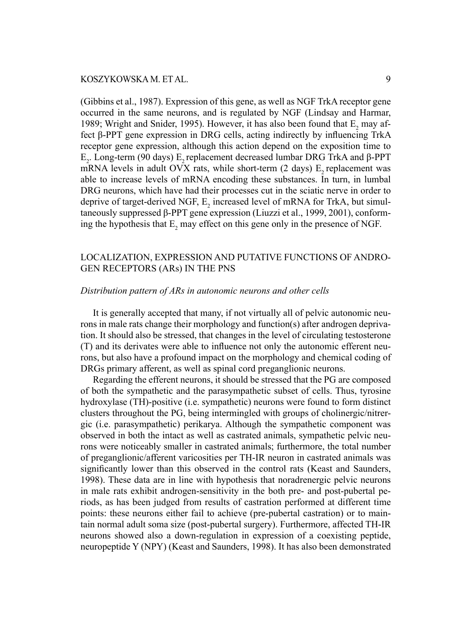(Gibbins et al., 1987). Expression of this gene, as well as NGF TrkA receptor gene occurred in the same neurons, and is regulated by NGF (Lindsay and Harmar, 1989; Wright and Snider, 1995). However, it has also been found that  $E_2$  may affect β-PPT gene expression in DRG cells, acting indirectly by influencing TrkA receptor gene expression, although this action depend on the exposition time to  $E_2$ . Long-term (90 days)  $E_2$  replacement decreased lumbar DRG TrkA and β-PPT mRNA levels in adult OVX rats, while short-term  $(2 \text{ days})$  E<sub>2</sub> replacement was able to increase levels of mRNA encoding these substances. In turn, in lumbal DRG neurons, which have had their processes cut in the sciatic nerve in order to deprive of target-derived NGF,  $E_2$  increased level of mRNA for TrkA, but simultaneously suppressed β-PPT gene expression (Liuzzi et al., 1999, 2001), conforming the hypothesis that  $E_2$  may effect on this gene only in the presence of NGF.

## LOCALIZATION, EXPRESSION AND PUTATIVE FUNCTIONS OF ANDRO-GEN RECEPTORS (ARs) IN THE PNS

## *Distribution pattern of ARs in autonomic neurons and other cells*

It is generally accepted that many, if not virtually all of pelvic autonomic neurons in male rats change their morphology and function(s) after androgen deprivation. It should also be stressed, that changes in the level of circulating testosterone (T) and its derivates were able to influence not only the autonomic efferent neurons, but also have a profound impact on the morphology and chemical coding of DRGs primary afferent, as well as spinal cord preganglionic neurons.

Regarding the efferent neurons, it should be stressed that the PG are composed of both the sympathetic and the parasympathetic subset of cells. Thus, tyrosine hydroxylase (TH)-positive (i.e. sympathetic) neurons were found to form distinct clusters throughout the PG, being intermingled with groups of cholinergic/nitrergic (i.e. parasympathetic) perikarya. Although the sympathetic component was observed in both the intact as well as castrated animals, sympathetic pelvic neurons were noticeably smaller in castrated animals; furthermore, the total number of preganglionic/afferent varicosities per TH-IR neuron in castrated animals was significantly lower than this observed in the control rats (Keast and Saunders, 1998). These data are in line with hypothesis that noradrenergic pelvic neurons in male rats exhibit androgen-sensitivity in the both pre- and post-pubertal periods, as has been judged from results of castration performed at different time points: these neurons either fail to achieve (pre-pubertal castration) or to maintain normal adult soma size (post-pubertal surgery). Furthermore, affected TH-IR neurons showed also a down-regulation in expression of a coexisting peptide, neuropeptide Y (NPY) (Keast and Saunders, 1998). It has also been demonstrated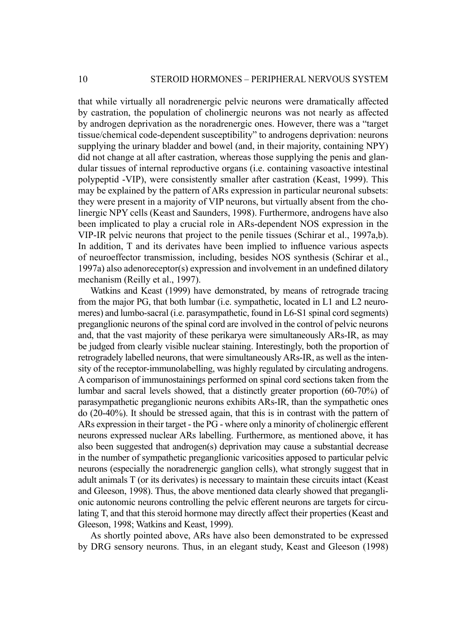that while virtually all noradrenergic pelvic neurons were dramatically affected by castration, the population of cholinergic neurons was not nearly as affected by androgen deprivation as the noradrenergic ones. However, there was a "target tissue/chemical code-dependent susceptibility" to androgens deprivation: neurons supplying the urinary bladder and bowel (and, in their majority, containing NPY) did not change at all after castration, whereas those supplying the penis and glandular tissues of internal reproductive organs (i.e. containing vasoactive intestinal polypeptid -VIP), were consistently smaller after castration (Keast, 1999). This may be explained by the pattern of ARs expression in particular neuronal subsets: they were present in a majority of VIP neurons, but virtually absent from the cholinergic NPY cells (Keast and Saunders, 1998). Furthermore, androgens have also been implicated to play a crucial role in ARs-dependent NOS expression in the VIP-IR pelvic neurons that project to the penile tissues (Schirar et al., 1997a,b). In addition,  $T$  and its derivates have been implied to influence various aspects of neuroeffector transmission, including, besides NOS synthesis (Schirar et al., 1997a) also adenoreceptor(s) expression and involvement in an undefined dilatory mechanism (Reilly et al., 1997).

Watkins and Keast (1999) have demonstrated, by means of retrograde tracing from the major PG, that both lumbar (i.e. sympathetic, located in L1 and L2 neuromeres) and lumbo-sacral (i.e. parasympathetic, found in L6-S1 spinal cord segments) preganglionic neurons of the spinal cord are involved in the control of pelvic neurons and, that the vast majority of these perikarya were simultaneously ARs-IR, as may be judged from clearly visible nuclear staining. Interestingly, both the proportion of retrogradely labelled neurons, that were simultaneously ARs-IR, as well as the intensity of the receptor-immunolabelling, was highly regulated by circulating androgens. A comparison of immunostainings performed on spinal cord sections taken from the lumbar and sacral levels showed, that a distinctly greater proportion (60-70%) of parasympathetic preganglionic neurons exhibits ARs-IR, than the sympathetic ones do (20-40%). It should be stressed again, that this is in contrast with the pattern of ARs expression in their target - the PG - where only a minority of cholinergic efferent neurons expressed nuclear ARs labelling. Furthermore, as mentioned above, it has also been suggested that androgen(s) deprivation may cause a substantial decrease in the number of sympathetic preganglionic varicosities apposed to particular pelvic neurons (especially the noradrenergic ganglion cells), what strongly suggest that in adult animals T (or its derivates) is necessary to maintain these circuits intact (Keast and Gleeson, 1998). Thus, the above mentioned data clearly showed that preganglionic autonomic neurons controlling the pelvic efferent neurons are targets for circulating T, and that this steroid hormone may directly affect their properties (Keast and Gleeson, 1998; Watkins and Keast, 1999).

As shortly pointed above, ARs have also been demonstrated to be expressed by DRG sensory neurons. Thus, in an elegant study, Keast and Gleeson (1998)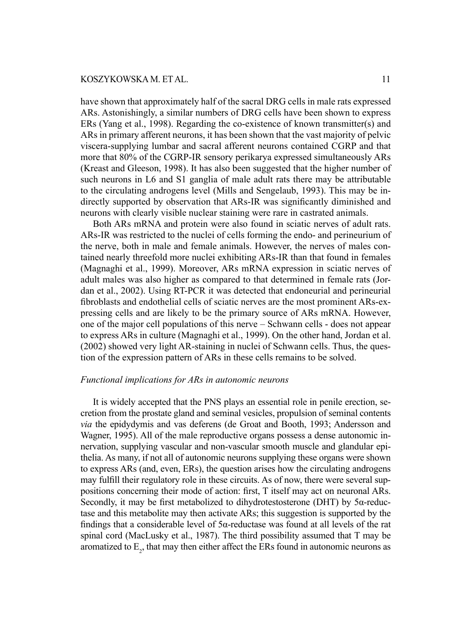have shown that approximately half of the sacral DRG cells in male rats expressed ARs. Astonishingly, a similar numbers of DRG cells have been shown to express ERs (Yang et al., 1998). Regarding the co-existence of known transmitter(s) and ARs in primary afferent neurons, it has been shown that the vast majority of pelvic viscera-supplying lumbar and sacral afferent neurons contained CGRP and that more that 80% of the CGRP-IR sensory perikarya expressed simultaneously ARs (Kreast and Gleeson, 1998). It has also been suggested that the higher number of such neurons in L6 and S1 ganglia of male adult rats there may be attributable to the circulating androgens level (Mills and Sengelaub, 1993). This may be indirectly supported by observation that ARs-IR was significantly diminished and neurons with clearly visible nuclear staining were rare in castrated animals.

Both ARs mRNA and protein were also found in sciatic nerves of adult rats. ARs-IR was restricted to the nuclei of cells forming the endo- and perineurium of the nerve, both in male and female animals. However, the nerves of males contained nearly threefold more nuclei exhibiting ARs-IR than that found in females (Magnaghi et al., 1999). Moreover, ARs mRNA expression in sciatic nerves of adult males was also higher as compared to that determined in female rats (Jordan et al., 2002). Using RT-PCR it was detected that endoneurial and perineurial fibroblasts and endothelial cells of sciatic nerves are the most prominent ARs-expressing cells and are likely to be the primary source of ARs mRNA. However, one of the major cell populations of this nerve – Schwann cells - does not appear to express ARs in culture (Magnaghi et al., 1999). On the other hand, Jordan et al. (2002) showed very light AR-staining in nuclei of Schwann cells. Thus, the question of the expression pattern of ARs in these cells remains to be solved.

## *Functional implications for ARs in autonomic neurons*

It is widely accepted that the PNS plays an essential role in penile erection, secretion from the prostate gland and seminal vesicles, propulsion of seminal contents *via* the epidydymis and vas deferens (de Groat and Booth, 1993; Andersson and Wagner, 1995). All of the male reproductive organs possess a dense autonomic innervation, supplying vascular and non-vascular smooth muscle and glandular epithelia. As many, if not all of autonomic neurons supplying these organs were shown to express ARs (and, even, ERs), the question arises how the circulating androgens may fulfill their regulatory role in these circuits. As of now, there were several suppositions concerning their mode of action: first, T itself may act on neuronal ARs. Secondly, it may be first metabolized to dihydrotestosterone (DHT) by  $5\alpha$ -reductase and this metabolite may then activate ARs; this suggestion is supported by the findings that a considerable level of  $5\alpha$ -reductase was found at all levels of the rat spinal cord (MacLusky et al., 1987). The third possibility assumed that T may be aromatized to  $E_2$ , that may then either affect the ERs found in autonomic neurons as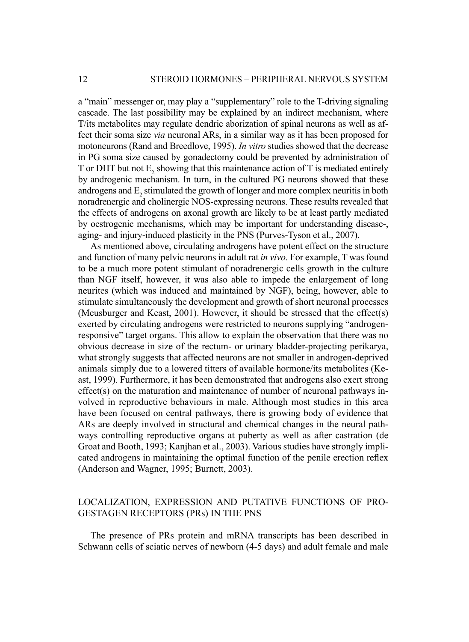a "main" messenger or, may play a "supplementary" role to the T-driving signaling cascade. The last possibility may be explained by an indirect mechanism, where T/its metabolites may regulate dendric aborization of spinal neurons as well as affect their soma size *via* neuronal ARs, in a similar way as it has been proposed for motoneurons (Rand and Breedlove, 1995). *In vitro* studies showed that the decrease in PG soma size caused by gonadectomy could be prevented by administration of T or DHT but not E<sub>2</sub>, showing that this maintenance action of T is mediated entirely by androgenic mechanism. In turn, in the cultured PG neurons showed that these androgens and  $E_2$  stimulated the growth of longer and more complex neuritis in both noradrenergic and cholinergic NOS-expressing neurons. These results revealed that the effects of androgens on axonal growth are likely to be at least partly mediated by oestrogenic mechanisms, which may be important for understanding disease-, aging- and injury-induced plasticity in the PNS (Purves-Tyson et al., 2007).

As mentioned above, circulating androgens have potent effect on the structure and function of many pelvic neurons in adult rat *in vivo*. For example, T was found to be a much more potent stimulant of noradrenergic cells growth in the culture than NGF itself, however, it was also able to impede the enlargement of long neurites (which was induced and maintained by NGF), being, however, able to stimulate simultaneously the development and growth of short neuronal processes (Meusburger and Keast, 2001). However, it should be stressed that the effect(s) exerted by circulating androgens were restricted to neurons supplying "androgenresponsive" target organs. This allow to explain the observation that there was no obvious decrease in size of the rectum- or urinary bladder-projecting perikarya, what strongly suggests that affected neurons are not smaller in androgen-deprived animals simply due to a lowered titters of available hormone/its metabolites (Keast, 1999). Furthermore, it has been demonstrated that androgens also exert strong effect(s) on the maturation and maintenance of number of neuronal pathways involved in reproductive behaviours in male. Although most studies in this area have been focused on central pathways, there is growing body of evidence that ARs are deeply involved in structural and chemical changes in the neural pathways controlling reproductive organs at puberty as well as after castration (de Groat and Booth, 1993; Kanjhan et al., 2003). Various studies have strongly implicated androgens in maintaining the optimal function of the penile erection reflex (Anderson and Wagner, 1995; Burnett, 2003).

## LOCALIZATION, EXPRESSION AND PUTATIVE FUNCTIONS OF PRO-GESTAGEN RECEPTORS (PRs) IN THE PNS

The presence of PRs protein and mRNA transcripts has been described in Schwann cells of sciatic nerves of newborn (4-5 days) and adult female and male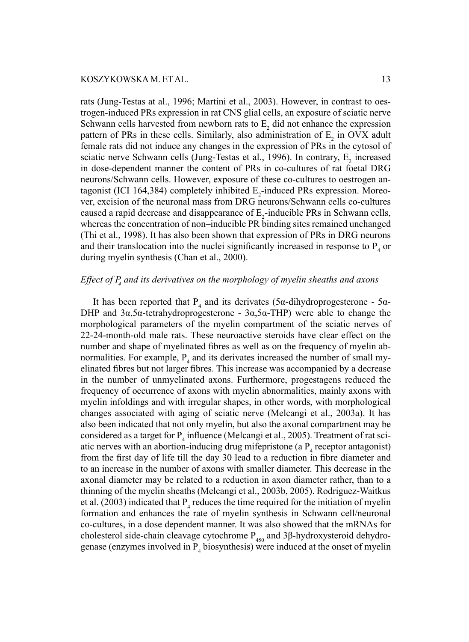rats (Jung-Testas at al., 1996; Martini et al., 2003). However, in contrast to oestrogen-induced PRs expression in rat CNS glial cells, an exposure of sciatic nerve Schwann cells harvested from newborn rats to  $E_2$  did not enhance the expression pattern of PRs in these cells. Similarly, also administration of  $E_2$  in OVX adult female rats did not induce any changes in the expression of PRs in the cytosol of sciatic nerve Schwann cells (Jung-Testas et al., 1996). In contrary,  $E_2$  increased in dose-dependent manner the content of PRs in co-cultures of rat foetal DRG neurons/Schwann cells. However, exposure of these co-cultures to oestrogen antagonist (ICI 164,384) completely inhibited  $E_2$ -induced PRs expression. Moreover, excision of the neuronal mass from DRG neurons/Schwann cells co-cultures caused a rapid decrease and disappearance of  $E_2$ -inducible PRs in Schwann cells, whereas the concentration of non–inducible PR binding sites remained unchanged (Thi et al., 1998). It has also been shown that expression of PRs in DRG neurons and their translocation into the nuclei significantly increased in response to  $P_4$  or during myelin synthesis (Chan et al., 2000).

## *Effect of P<sub>4</sub> and its derivatives on the morphology of myelin sheaths and axons*

It has been reported that  $P_4$  and its derivates (5α-dihydroprogesterone - 5α-DHP and  $3α,5α-tetrahydroprogesterone - 3α,5α-THP)$  were able to change the morphological parameters of the myelin compartment of the sciatic nerves of 22-24-month-old male rats. These neuroactive steroids have clear effect on the number and shape of myelinated fibres as well as on the frequency of myelin abnormalities. For example,  $P_4$  and its derivates increased the number of small myelinated fibres but not larger fibres. This increase was accompanied by a decrease in the number of unmyelinated axons. Furthermore, progestagens reduced the frequency of occurrence of axons with myelin abnormalities, mainly axons with myelin infoldings and with irregular shapes, in other words, with morphological changes associated with aging of sciatic nerve (Melcangi et al., 2003a). It has also been indicated that not only myelin, but also the axonal compartment may be considered as a target for  $P_4$  influence (Melcangi et al., 2005). Treatment of rat sciatic nerves with an abortion-inducing drug mifepristone (a  $P_4$  receptor antagonist) from the first day of life till the day 30 lead to a reduction in fibre diameter and to an increase in the number of axons with smaller diameter. This decrease in the axonal diameter may be related to a reduction in axon diameter rather, than to a thinning of the myelin sheaths (Melcangi et al., 2003b, 2005). Rodriguez-Waitkus et al. (2003) indicated that  $P_4$  reduces the time required for the initiation of myelin formation and enhances the rate of myelin synthesis in Schwann cell/neuronal co-cultures, in a dose dependent manner. It was also showed that the mRNAs for cholesterol side-chain cleavage cytochrome  $P_{450}$  and 3β-hydroxysteroid dehydrogenase (enzymes involved in  $P_4$  biosynthesis) were induced at the onset of myelin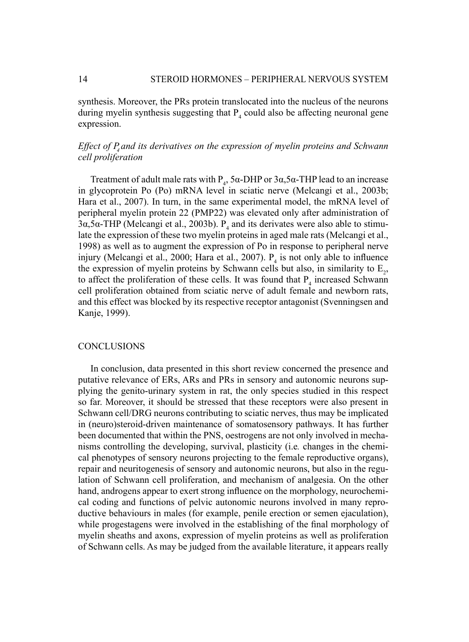synthesis. Moreover, the PRs protein translocated into the nucleus of the neurons during myelin synthesis suggesting that  $P_4$  could also be affecting neuronal gene expression.

## Effect of P<sub>4</sub> and its derivatives on the expression of myelin proteins and Schwann *cell proliferation*

Treatment of adult male rats with  $P_4$ , 5α-DHP or 3α,5α-THP lead to an increase in glycoprotein Po (Po) mRNA level in sciatic nerve (Melcangi et al., 2003b; Hara et al., 2007). In turn, in the same experimental model, the mRNA level of peripheral myelin protein 22 (PMP22) was elevated only after administration of  $3\alpha$ ,5 $\alpha$ -THP (Melcangi et al., 2003b).  $P_4$  and its derivates were also able to stimulate the expression of these two myelin proteins in aged male rats (Melcangi et al., 1998) as well as to augment the expression of Po in response to peripheral nerve injury (Melcangi et al., 2000; Hara et al., 2007).  $P_4$  is not only able to influence the expression of myelin proteins by Schwann cells but also, in similarity to  $E_2$ , to affect the proliferation of these cells. It was found that  $P_4$  increased Schwann cell proliferation obtained from sciatic nerve of adult female and newborn rats, and this effect was blocked by its respective receptor antagonist (Svenningsen and Kanje, 1999).

#### **CONCLUSIONS**

In conclusion, data presented in this short review concerned the presence and putative relevance of ERs, ARs and PRs in sensory and autonomic neurons supplying the genito-urinary system in rat, the only species studied in this respect so far. Moreover, it should be stressed that these receptors were also present in Schwann cell/DRG neurons contributing to sciatic nerves, thus may be implicated in (neuro)steroid-driven maintenance of somatosensory pathways. It has further been documented that within the PNS, oestrogens are not only involved in mechanisms controlling the developing, survival, plasticity (i.e*.* changes in the chemical phenotypes of sensory neurons projecting to the female reproductive organs), repair and neuritogenesis of sensory and autonomic neurons, but also in the regulation of Schwann cell proliferation, and mechanism of analgesia. On the other hand, androgens appear to exert strong influence on the morphology, neurochemical coding and functions of pelvic autonomic neurons involved in many reproductive behaviours in males (for example, penile erection or semen ejaculation), while progestagens were involved in the establishing of the final morphology of myelin sheaths and axons, expression of myelin proteins as well as proliferation of Schwann cells. As may be judged from the available literature, it appears really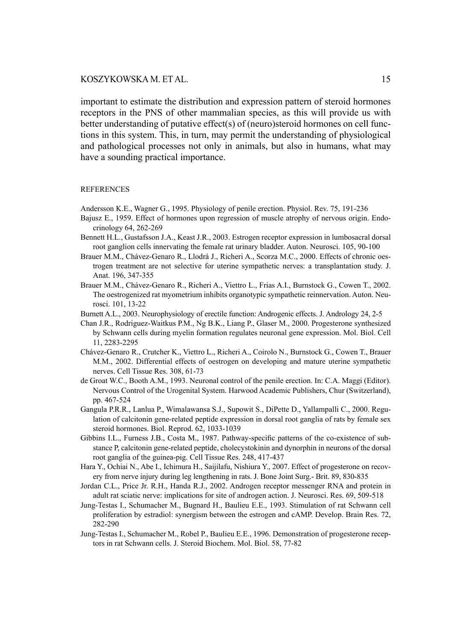#### KOSZYKOWSKA M. ET AL. 15

important to estimate the distribution and expression pattern of steroid hormones receptors in the PNS of other mammalian species, as this will provide us with better understanding of putative effect(s) of (neuro)steroid hormones on cell functions in this system. This, in turn, may permit the understanding of physiological and pathological processes not only in animals, but also in humans, what may have a sounding practical importance.

#### REFERENCES

- Andersson K.E., Wagner G., 1995. Physiology of penile erection. Physiol. Rev. 75, 191-236
- Bajusz E., 1959. Effect of hormones upon regression of muscle atrophy of nervous origin. Endocrinology 64, 262-269
- Bennett H.L., Gustafsson J.A., Keast J.R., 2003. Estrogen receptor expression in lumbosacral dorsal root ganglion cells innervating the female rat urinary bladder. Auton. Neurosci. 105, 90-100
- Brauer M.M., Chávez-Genaro R., Llodrá J., Richeri A., Scorza M.C., 2000. Effects of chronic oestrogen treatment are not selective for uterine sympathetic nerves: a transplantation study. J. Anat. 196, 347-355
- Brauer M.M., Chávez-Genaro R., Richeri A., Viettro L., Frias A.I., Burnstock G., Cowen T., 2002. The oestrogenized rat myometrium inhibits organotypic sympathetic reinnervation. Auton. Neurosci. 101, 13-22
- Burnett A.L., 2003. Neurophysiology of erectile function: Androgenic effects. J. Andrology 24, 2-5
- Chan J.R., Rodriguez-Waitkus P.M., Ng B.K., Liang P., Glaser M., 2000. Progesterone synthesized by Schwann cells during myelin formation regulates neuronal gene expression. Mol. Biol. Cell 11, 2283-2295
- Chávez-Genaro R., Crutcher K., Viettro L., Richeri A., Coirolo N., Burnstock G., Cowen T., Brauer M.M., 2002. Differential effects of oestrogen on developing and mature uterine sympathetic nerves. Cell Tissue Res. 308, 61-73
- de Groat W.C., Booth A.M., 1993. Neuronal control of the penile erection. In: C.A. Maggi (Editor). Nervous Control of the Urogenital System. Harwood Academic Publishers, Chur (Switzerland), pp. 467-524
- Gangula P.R.R., Lanlua P., Wimalawansa S.J., Supowit S., DiPette D., Yallampalli C., 2000. Regulation of calcitonin gene-related peptide expression in dorsal root ganglia of rats by female sex steroid hormones. Biol. Reprod. 62, 1033-1039
- Gibbins I.L., Furness J.B., Costa M., 1987. Pathway-specific patterns of the co-existence of substance P, calcitonin gene-related peptide, cholecystokinin and dynorphin in neurons of the dorsal root ganglia of the guinea-pig. Cell Tissue Res. 248, 417-437
- Hara Y., Ochiai N., Abe I., Ichimura H., Saijilafu, Nishiura Y., 2007. Effect of progesterone on recovery from nerve injury during leg lengthening in rats. J. Bone Joint Surg.- Brit. 89, 830-835
- Jordan C.L., Price Jr. R.H., Handa R.J., 2002. Androgen receptor messenger RNA and protein in adult rat sciatic nerve: implications for site of androgen action. J. Neurosci. Res. 69, 509-518
- Jung-Testas I., Schumacher M., Bugnard H., Baulieu E.E., 1993. Stimulation of rat Schwann cell proliferation by estradiol: synergism between the estrogen and cAMP. Develop. Brain Res. 72, 282-290
- Jung-Testas I., Schumacher M., Robel P., Baulieu E.E., 1996. Demonstration of progesterone receptors in rat Schwann cells. J. Steroid Biochem. Mol. Biol. 58, 77-82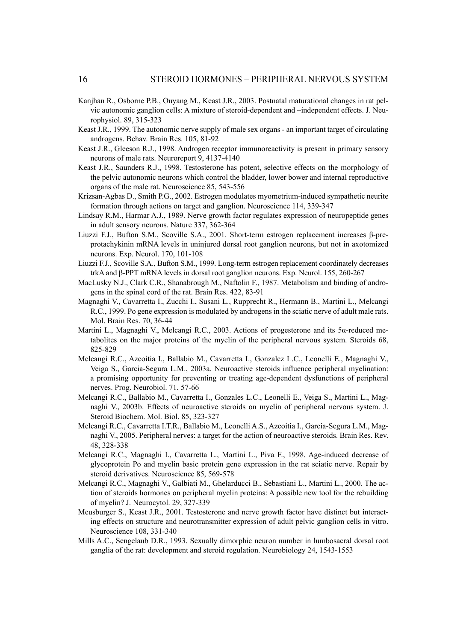- Kanjhan R., Osborne P.B., Ouyang M., Keast J.R., 2003. Postnatal maturational changes in rat pelvic autonomic ganglion cells: A mixture of steroid-dependent and –independent effects. J. Neurophysiol. 89, 315-323
- Keast J.R., 1999. The autonomic nerve supply of male sex organs an important target of circulating androgens. Behav. Brain Res. 105, 81-92
- Keast J.R., Gleeson R.J., 1998. Androgen receptor immunoreactivity is present in primary sensory neurons of male rats. Neuroreport 9, 4137-4140
- Keast J.R., Saunders R.J., 1998. Testosterone has potent, selective effects on the morphology of the pelvic autonomic neurons which control the bladder, lower bower and internal reproductive organs of the male rat. Neuroscience 85, 543-556
- Krizsan-Agbas D., Smith P.G., 2002. Estrogen modulates myometrium-induced sympathetic neurite formation through actions on target and ganglion. Neuroscience 114, 339-347
- Lindsay R.M., Harmar A.J., 1989. Nerve growth factor regulates expression of neuropeptide genes in adult sensory neurons. Nature 337, 362-364
- Liuzzi F.J., Bufton S.M., Scoville S.A., 2001. Short-term estrogen replacement increases β-preprotachykinin mRNA levels in uninjured dorsal root ganglion neurons, but not in axotomized neurons. Exp. Neurol. 170, 101-108
- Liuzzi F.J., Scoville S.A., Bufton S.M., 1999. Long-term estrogen replacement coordinately decreases trkA and β-PPT mRNA levels in dorsal root ganglion neurons. Exp. Neurol. 155, 260-267
- MacLusky N.J., Clark C.R., Shanabrough M., Naftolin F., 1987. Metabolism and binding of androgens in the spinal cord of the rat. Brain Res. 422, 83-91
- Magnaghi V., Cavarretta I., Zucchi I., Susani L., Rupprecht R., Hermann B., Martini L., Melcangi R.C., 1999. Po gene expression is modulated by androgens in the sciatic nerve of adult male rats. Mol. Brain Res. 70, 36-44
- Martini L., Magnaghi V., Melcangi R.C., 2003. Actions of progesterone and its 5α-reduced metabolites on the major proteins of the myelin of the peripheral nervous system. Steroids 68, 825-829
- Melcangi R.C., Azcoitia I., Ballabio M., Cavarretta I., Gonzalez L.C., Leonelli E., Magnaghi V., Veiga S., Garcia-Segura L.M., 2003a. Neuroactive steroids influence peripheral myelination: a promising opportunity for preventing or treating age-dependent dysfunctions of peripheral nerves. Prog. Neurobiol. 71, 57-66
- Melcangi R.C., Ballabio M., Cavarretta I., Gonzales L.C., Leonelli E., Veiga S., Martini L., Magnaghi V., 2003b. Effects of neuroactive steroids on myelin of peripheral nervous system. J. Steroid Biochem. Mol. Biol. 85, 323-327
- Melcangi R.C., Cavarretta I.T.R., Ballabio M., Leonelli A.S., Azcoitia I., Garcia-Segura L.M., Magnaghi V., 2005. Peripheral nerves: a target for the action of neuroactive steroids. Brain Res. Rev. 48, 328-338
- Melcangi R.C., Magnaghi I., Cavarretta L., Martini L., Piva F., 1998. Age-induced decrease of glycoprotein Po and myelin basic protein gene expression in the rat sciatic nerve. Repair by steroid derivatives. Neuroscience 85, 569-578
- Melcangi R.C., Magnaghi V., Galbiati M., Ghelarducci B., Sebastiani L., Martini L., 2000. The action of steroids hormones on peripheral myelin proteins: A possible new tool for the rebuilding of myelin? J. Neurocytol. 29, 327-339
- Meusburger S., Keast J.R., 2001. Testosterone and nerve growth factor have distinct but interacting effects on structure and neurotransmitter expression of adult pelvic ganglion cells in vitro. Neuroscience 108, 331-340
- Mills A.C., Sengelaub D.R., 1993. Sexually dimorphic neuron number in lumbosacral dorsal root ganglia of the rat: development and steroid regulation. Neurobiology 24, 1543-1553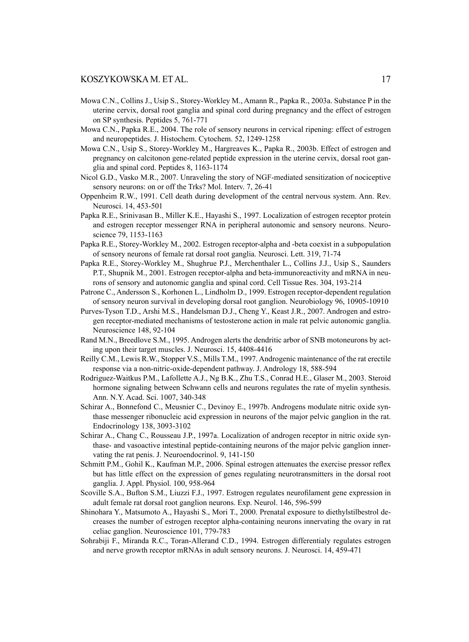- Mowa C.N., Collins J., Usip S., Storey-Workley M., Amann R., Papka R., 2003a. Substance P in the uterine cervix, dorsal root ganglia and spinal cord during pregnancy and the effect of estrogen on SP synthesis. Peptides 5, 761-771
- Mowa C.N., Papka R.E., 2004. The role of sensory neurons in cervical ripening: effect of estrogen and neuropeptides. J. Histochem. Cytochem. 52, 1249-1258
- Mowa C.N., Usip S., Storey-Workley M., Hargreaves K., Papka R., 2003b. Effect of estrogen and pregnancy on calcitonon gene-related peptide expression in the uterine cervix, dorsal root ganglia and spinal cord. Peptides 8, 1163-1174
- Nicol G.D., Vasko M.R., 2007. Unraveling the story of NGF-mediated sensitization of nociceptive sensory neurons: on or off the Trks? Mol. Interv. 7, 26-41
- Oppenheim R.W., 1991. Cell death during development of the central nervous system. Ann. Rev. Neurosci. 14, 453-501
- Papka R.E., Srinivasan B., Miller K.E., Hayashi S., 1997. Localization of estrogen receptor protein and estrogen receptor messenger RNA in peripheral autonomic and sensory neurons. Neuroscience 79, 1153-1163
- Papka R.E., Storey-Workley M., 2002. Estrogen receptor-alpha and -beta coexist in a subpopulation of sensory neurons of female rat dorsal root ganglia. Neurosci. Lett. 319, 71-74
- Papka R.E., Storey-Workley M., Shughrue P.J., Merchenthaler L., Collins J.J., Usip S., Saunders P.T., Shupnik M., 2001. Estrogen receptor-alpha and beta-immunoreactivity and mRNA in neurons of sensory and autonomic ganglia and spinal cord. Cell Tissue Res. 304, 193-214
- Patrone C., Andersson S., Korhonen L., Lindholm D., 1999. Estrogen receptor-dependent regulation of sensory neuron survival in developing dorsal root ganglion. Neurobiology 96, 10905-10910
- Purves-Tyson T.D., Arshi M.S., Handelsman D.J., Cheng Y., Keast J.R., 2007. Androgen and estrogen receptor-mediated mechanisms of testosterone action in male rat pelvic autonomic ganglia. Neuroscience 148, 92-104
- Rand M.N., Breedlove S.M., 1995. Androgen alerts the dendritic arbor of SNB motoneurons by acting upon their target muscles. J. Neurosci. 15, 4408-4416
- Reilly C.M., Lewis R.W., Stopper V.S., Mills T.M., 1997. Androgenic maintenance of the rat erectile response via a non-nitric-oxide-dependent pathway. J. Andrology 18, 588-594
- Rodriguez-Waitkus P.M., Lafollette A.J., Ng B.K., Zhu T.S., Conrad H.E., Glaser M., 2003. Steroid hormone signaling between Schwann cells and neurons regulates the rate of myelin synthesis. Ann. N.Y. Acad. Sci. 1007, 340-348
- Schirar A., Bonnefond C., Meusnier C., Devinoy E., 1997b. Androgens modulate nitric oxide synthase messenger ribonucleic acid expression in neurons of the major pelvic ganglion in the rat. Endocrinology 138, 3093-3102
- Schirar A., Chang C., Rousseau J.P., 1997a. Localization of androgen receptor in nitric oxide synthase- and vasoactive intestinal peptide-containing neurons of the major pelvic ganglion innervating the rat penis. J. Neuroendocrinol. 9, 141-150
- Schmitt P.M., Gohil K., Kaufman M.P., 2006. Spinal estrogen attenuates the exercise pressor reflex but has little effect on the expression of genes regulating neurotransmitters in the dorsal root ganglia. J. Appl. Physiol. 100, 958-964
- Scoville S.A., Bufton S.M., Liuzzi F.J., 1997. Estrogen regulates neurofilament gene expression in adult female rat dorsal root ganglion neurons. Exp. Neurol. 146, 596-599
- Shinohara Y., Matsumoto A., Hayashi S., Mori T., 2000. Prenatal exposure to diethylstilbestrol decreases the number of estrogen receptor alpha-containing neurons innervating the ovary in rat celiac ganglion. Neuroscience 101, 779-783
- Sohrabiji F., Miranda R.C., Toran-Allerand C.D., 1994. Estrogen differentialy regulates estrogen and nerve growth receptor mRNAs in adult sensory neurons. J. Neurosci. 14, 459-471